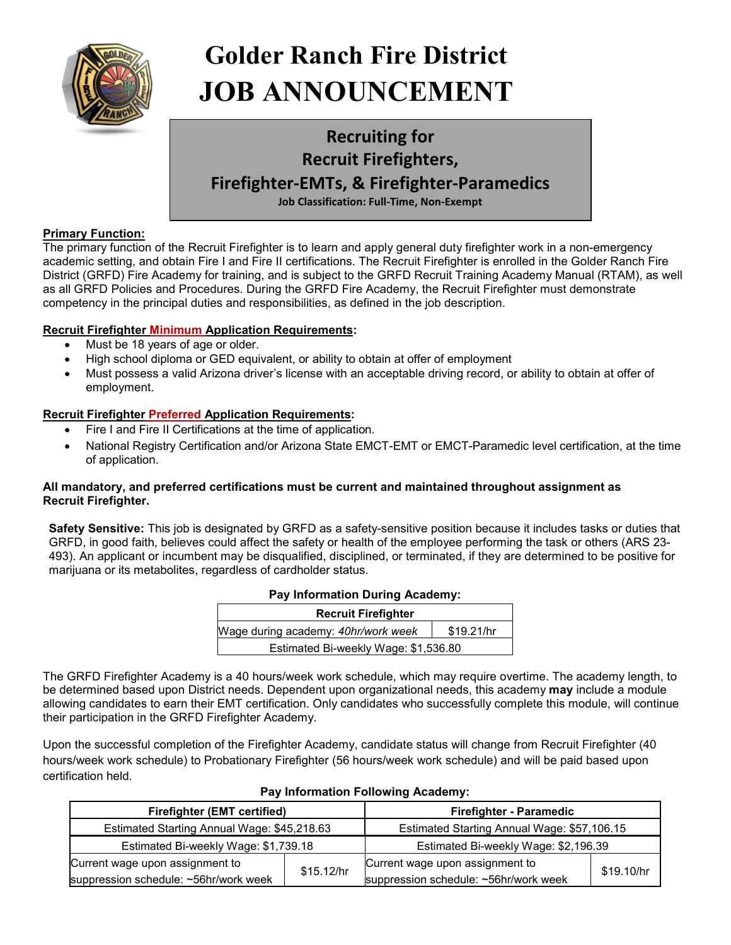

# **Primary Function: Golder Ranch Fire District JOB ANNOUNCEMENT**

## **Recruiting for Recruit Firefighters, Firefighter-EMTs, & Firefighter-Paramedics Job Classification: Full-Time, Non-Exempt**

## **Primary Function:**

The primary function of the Recruit Firefighter is to learn and apply general duty firefighter work in a non-emergency academic setting, and obtain Fire I and Fire II certifications. The Recruit Firefighter is enrolled in the Golder Ranch Fire District (GRFD) Fire Academy for training, and is subject to the GRFD Recruit Training Academy Manual (RTAM), as well as all GRFD Policies and Procedures. During the GRFD Fire Academy, the Recruit Firefighter must demonstrate competency in the principal duties and responsibilities, as defined in the job description.

## **Recruit Firefighter Minimum Application Requirements:**

- Must be 18 years of age or older.
- High school diploma or GED equivalent, or ability to obtain at offer of employment
- Must possess a valid Arizona driver's license with an acceptable driving record, or ability to obtain at offer of employment.

## **Recruit Firefighter Preferred Application Requirements:**

- Fire I and Fire II Certifications at the time of application.
- National Registry Certification and/or Arizona State EMCT-EMT or EMCT-Paramedic level certification, at the time of application.

## **All mandatory, and preferred certifications must be current and maintained throughout assignment as Recruit Firefighter.**

**Safety Sensitive:** This job is designated by GRFD as a safety-sensitive position because it includes tasks or duties that GRFD, in good faith, believes could affect the safety or health of the employee performing the task or others (ARS 23- 493). An applicant or incumbent may be disqualified, disciplined, or terminated, if they are determined to be positive for marijuana or its metabolites, regardless of cardholder status.

## **Pay Information During Academy:**

| <b>Recruit Firefighter</b>           |            |  |  |  |
|--------------------------------------|------------|--|--|--|
| Wage during academy: 40hr/work week  | \$19.21/hr |  |  |  |
| Estimated Bi-weekly Wage: \$1,536.80 |            |  |  |  |

The GRFD Firefighter Academy is a 40 hours/week work schedule, which may require overtime. The academy length, to be determined based upon District needs. Dependent upon organizational needs, this academy **may** include a module allowing candidates to earn their EMT certification. Only candidates who successfully complete this module, will continue their participation in the GRFD Firefighter Academy.

Upon the successful completion of the Firefighter Academy, candidate status will change from Recruit Firefighter (40 hours/week work schedule) to Probationary Firefighter (56 hours/week work schedule) and will be paid based upon certification held.

| <b>Firefighter (EMT certified)</b>                                       |                                             | <b>Firefighter - Paramedic</b>                                           |            |
|--------------------------------------------------------------------------|---------------------------------------------|--------------------------------------------------------------------------|------------|
| Estimated Starting Annual Wage: \$45,218.63                              | Estimated Starting Annual Wage: \$57,106.15 |                                                                          |            |
| Estimated Bi-weekly Wage: \$1,739.18                                     |                                             | Estimated Bi-weekly Wage: \$2,196.39                                     |            |
| Current wage upon assignment to<br>suppression schedule: ~56hr/work week | \$15.12/hr                                  | Current wage upon assignment to<br>suppression schedule: ~56hr/work week | \$19.10/hr |

## **Pay Information Following Academy:**